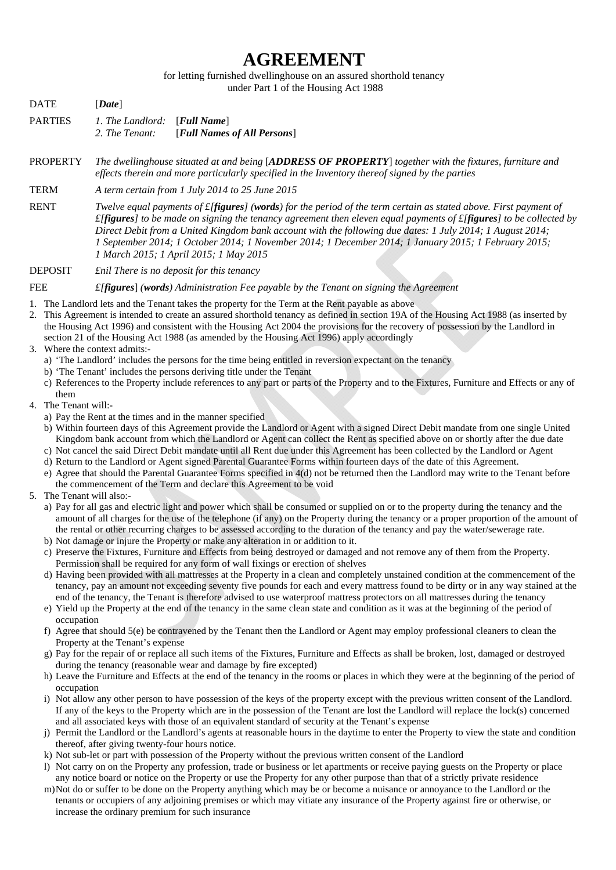## **AGREEMENT**

for letting furnished dwellinghouse on an assured shorthold tenancy

under Part 1 of the Housing Act 1988

| <b>DATE</b>     | [Date]                                                                                                                                                                                                                                                                                                                                                                                                                                                                               |
|-----------------|--------------------------------------------------------------------------------------------------------------------------------------------------------------------------------------------------------------------------------------------------------------------------------------------------------------------------------------------------------------------------------------------------------------------------------------------------------------------------------------|
| <b>PARTIES</b>  | 1. The Landlord:<br>[Full Name]<br>[Full Names of All Persons]<br>2. The Tenant:                                                                                                                                                                                                                                                                                                                                                                                                     |
| <b>PROPERTY</b> | The dwellinghouse situated at and being [ADDRESS OF PROPERTY] together with the fixtures, furniture and<br>effects therein and more particularly specified in the Inventory thereof signed by the parties                                                                                                                                                                                                                                                                            |
| <b>TERM</b>     | A term certain from 1 July 2014 to 25 June 2015                                                                                                                                                                                                                                                                                                                                                                                                                                      |
| <b>RENT</b>     | Twelve equal payments of $f$ [ <b>figures</b> ] ( <b>words</b> ) for the period of the term certain as stated above. First payment of<br>$f[figures]$ to be made on signing the tenancy agreement then eleven equal payments of $f[figures]$ to be collected by<br>Direct Debit from a United Kingdom bank account with the following due dates: 1 July 2014; 1 August 2014;<br>I September 2014; 1 October 2014; 1 November 2014; 1 December 2014; 1 January 2015; 1 February 2015; |

*1 March 2015; 1 April 2015; 1 May 2015* 

DEPOSIT *£nil There is no deposit for this tenancy* 

FEE *£[figures*] *(words) Administration Fee payable by the Tenant on signing the Agreement* 

- 1. The Landlord lets and the Tenant takes the property for the Term at the Rent payable as above
- 2. This Agreement is intended to create an assured shorthold tenancy as defined in section 19A of the Housing Act 1988 (as inserted by the Housing Act 1996) and consistent with the Housing Act 2004 the provisions for the recovery of possession by the Landlord in section 21 of the Housing Act 1988 (as amended by the Housing Act 1996) apply accordingly
- 3. Where the context admits:
	- a) 'The Landlord' includes the persons for the time being entitled in reversion expectant on the tenancy
	- b) 'The Tenant' includes the persons deriving title under the Tenant
	- c) References to the Property include references to any part or parts of the Property and to the Fixtures, Furniture and Effects or any of them
- 4. The Tenant will:
	- a) Pay the Rent at the times and in the manner specified
	- b) Within fourteen days of this Agreement provide the Landlord or Agent with a signed Direct Debit mandate from one single United Kingdom bank account from which the Landlord or Agent can collect the Rent as specified above on or shortly after the due date
	- c) Not cancel the said Direct Debit mandate until all Rent due under this Agreement has been collected by the Landlord or Agent
	- d) Return to the Landlord or Agent signed Parental Guarantee Forms within fourteen days of the date of this Agreement.
	- e) Agree that should the Parental Guarantee Forms specified in 4(d) not be returned then the Landlord may write to the Tenant before the commencement of the Term and declare this Agreement to be void
- 5. The Tenant will also:
	- a) Pay for all gas and electric light and power which shall be consumed or supplied on or to the property during the tenancy and the amount of all charges for the use of the telephone (if any) on the Property during the tenancy or a proper proportion of the amount of the rental or other recurring charges to be assessed according to the duration of the tenancy and pay the water/sewerage rate.
	- b) Not damage or injure the Property or make any alteration in or addition to it.
	- c) Preserve the Fixtures, Furniture and Effects from being destroyed or damaged and not remove any of them from the Property. Permission shall be required for any form of wall fixings or erection of shelves
	- d) Having been provided with all mattresses at the Property in a clean and completely unstained condition at the commencement of the tenancy, pay an amount not exceeding seventy five pounds for each and every mattress found to be dirty or in any way stained at the end of the tenancy, the Tenant is therefore advised to use waterproof mattress protectors on all mattresses during the tenancy
	- e) Yield up the Property at the end of the tenancy in the same clean state and condition as it was at the beginning of the period of occupation
	- f) Agree that should  $5(e)$  be contravened by the Tenant then the Landlord or Agent may employ professional cleaners to clean the Property at the Tenant's expense
	- g) Pay for the repair of or replace all such items of the Fixtures, Furniture and Effects as shall be broken, lost, damaged or destroyed during the tenancy (reasonable wear and damage by fire excepted)
	- h) Leave the Furniture and Effects at the end of the tenancy in the rooms or places in which they were at the beginning of the period of occupation
	- i) Not allow any other person to have possession of the keys of the property except with the previous written consent of the Landlord. If any of the keys to the Property which are in the possession of the Tenant are lost the Landlord will replace the lock(s) concerned and all associated keys with those of an equivalent standard of security at the Tenant's expense
	- j) Permit the Landlord or the Landlord's agents at reasonable hours in the daytime to enter the Property to view the state and condition thereof, after giving twenty-four hours notice.
	- k) Not sub-let or part with possession of the Property without the previous written consent of the Landlord
	- l) Not carry on on the Property any profession, trade or business or let apartments or receive paying guests on the Property or place any notice board or notice on the Property or use the Property for any other purpose than that of a strictly private residence
	- m)Not do or suffer to be done on the Property anything which may be or become a nuisance or annoyance to the Landlord or the tenants or occupiers of any adjoining premises or which may vitiate any insurance of the Property against fire or otherwise, or increase the ordinary premium for such insurance